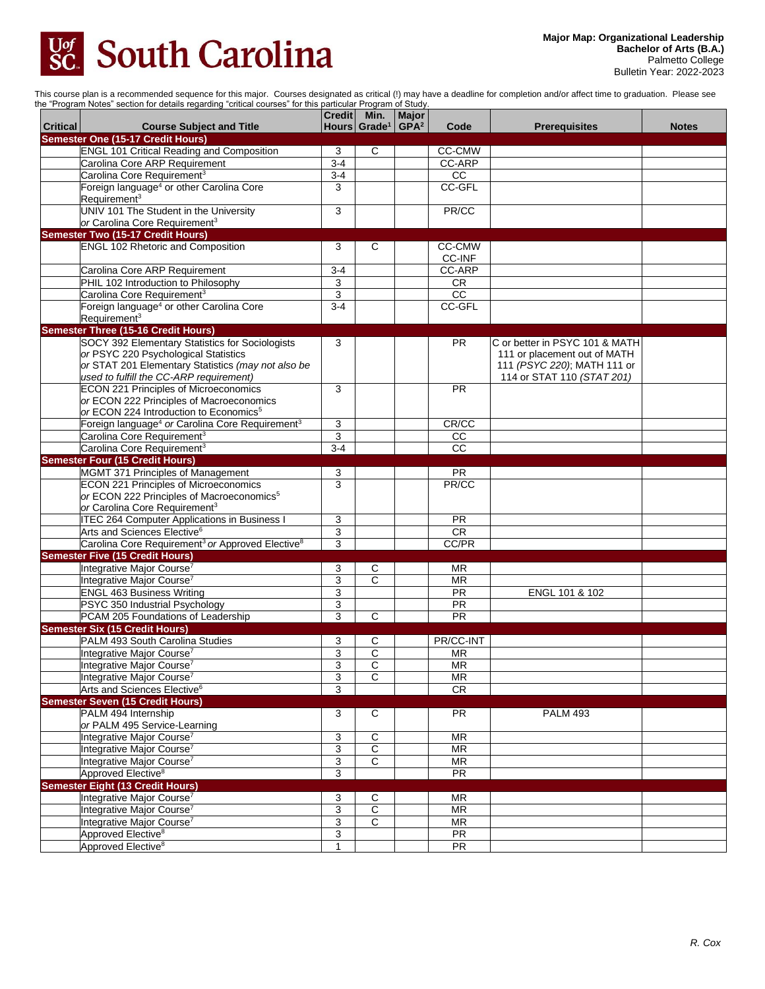

This course plan is a recommended sequence for this major. Courses designated as critical (!) may have a deadline for completion and/or affect time to graduation. Please see the "Program Notes" section for details regarding "critical courses" for this particular Program of Study.

|                 | Thogram Notes Securitive actuals regarding critical courses for this particular riogram of etal                   | Credit   Min.  | Hours Grade <sup>1</sup> GPA <sup>2</sup> | Major |                        |                                |              |
|-----------------|-------------------------------------------------------------------------------------------------------------------|----------------|-------------------------------------------|-------|------------------------|--------------------------------|--------------|
| <b>Critical</b> | <b>Course Subject and Title</b><br><b>Semester One (15-17 Credit Hours)</b>                                       |                |                                           |       | Code                   | <b>Prerequisites</b>           | <b>Notes</b> |
|                 | <b>ENGL 101 Critical Reading and Composition</b>                                                                  | 3              | C                                         |       | CC-CMW                 |                                |              |
|                 | Carolina Core ARP Requirement                                                                                     | $3-4$          |                                           |       | CC-ARP                 |                                |              |
|                 | Carolina Core Requirement <sup>3</sup>                                                                            | $3-4$          |                                           |       | $\overline{cc}$        |                                |              |
|                 | Foreign language <sup>4</sup> or other Carolina Core                                                              | 3              |                                           |       | CC-GFL                 |                                |              |
|                 | Requirement <sup>3</sup>                                                                                          |                |                                           |       |                        |                                |              |
|                 | UNIV 101 The Student in the University                                                                            | 3              |                                           |       | PR/CC                  |                                |              |
|                 | or Carolina Core Requirement <sup>3</sup>                                                                         |                |                                           |       |                        |                                |              |
|                 | <b>Semester Two (15-17 Credit Hours)</b>                                                                          |                |                                           |       |                        |                                |              |
|                 | <b>ENGL 102 Rhetoric and Composition</b>                                                                          | 3              | C                                         |       | CC-CMW                 |                                |              |
|                 |                                                                                                                   |                |                                           |       | <b>CC-INF</b>          |                                |              |
|                 | Carolina Core ARP Requirement                                                                                     | $3 - 4$        |                                           |       | <b>CC-ARP</b>          |                                |              |
|                 | PHIL 102 Introduction to Philosophy                                                                               | 3              |                                           |       | <b>CR</b>              |                                |              |
|                 | Carolina Core Requirement <sup>3</sup>                                                                            | 3              |                                           |       | $\overline{cc}$        |                                |              |
|                 | Foreign language <sup>4</sup> or other Carolina Core                                                              | $3 - 4$        |                                           |       | CC-GFL                 |                                |              |
|                 | Requirement <sup>3</sup>                                                                                          |                |                                           |       |                        |                                |              |
|                 | <b>Semester Three (15-16 Credit Hours)</b>                                                                        |                |                                           |       |                        |                                |              |
|                 | SOCY 392 Elementary Statistics for Sociologists                                                                   | 3              |                                           |       | <b>PR</b>              | C or better in PSYC 101 & MATH |              |
|                 | or PSYC 220 Psychological Statistics                                                                              |                |                                           |       |                        | 111 or placement out of MATH   |              |
|                 | or STAT 201 Elementary Statistics (may not also be                                                                |                |                                           |       |                        | 111 (PSYC 220); MATH 111 or    |              |
|                 | used to fulfill the CC-ARP requirement)                                                                           |                |                                           |       |                        | 114 or STAT 110 (STAT 201)     |              |
|                 | <b>ECON 221 Principles of Microeconomics</b>                                                                      | 3              |                                           |       | <b>PR</b>              |                                |              |
|                 | or ECON 222 Principles of Macroeconomics                                                                          |                |                                           |       |                        |                                |              |
|                 | or ECON 224 Introduction to Economics <sup>5</sup>                                                                |                |                                           |       | CR/CC                  |                                |              |
|                 | Foreign language <sup>4</sup> or Carolina Core Requirement <sup>3</sup><br>Carolina Core Requirement <sup>3</sup> | 3<br>3         |                                           |       | $\overline{cc}$        |                                |              |
|                 |                                                                                                                   | $3 - 4$        |                                           |       | $\overline{cc}$        |                                |              |
|                 | Carolina Core Requirement <sup>3</sup>                                                                            |                |                                           |       |                        |                                |              |
|                 | <b>Semester Four (15 Credit Hours)</b><br>MGMT 371 Principles of Management                                       |                |                                           |       | PR                     |                                |              |
|                 | <b>ECON 221 Principles of Microeconomics</b>                                                                      | 3<br>3         |                                           |       | PR/CC                  |                                |              |
|                 | or ECON 222 Principles of Macroeconomics <sup>5</sup>                                                             |                |                                           |       |                        |                                |              |
|                 | or Carolina Core Requirement <sup>3</sup>                                                                         |                |                                           |       |                        |                                |              |
|                 | <b>ITEC 264 Computer Applications in Business I</b>                                                               | 3              |                                           |       | <b>PR</b>              |                                |              |
|                 | Arts and Sciences Elective <sup>6</sup>                                                                           | $\overline{3}$ |                                           |       | $\overline{CR}$        |                                |              |
|                 | Carolina Core Requirement <sup>3</sup> or Approved Elective <sup>8</sup>                                          | 3              |                                           |       | CC/PR                  |                                |              |
|                 | <b>Semester Five (15 Credit Hours)</b>                                                                            |                |                                           |       |                        |                                |              |
|                 | Integrative Major Course <sup>7</sup>                                                                             | 3              | C                                         |       | MR                     |                                |              |
|                 | Integrative Major Course <sup>7</sup>                                                                             | 3              | $\mathsf{C}$                              |       | <b>MR</b>              |                                |              |
|                 | <b>ENGL 463 Business Writing</b>                                                                                  | 3              |                                           |       | <b>PR</b>              | ENGL 101 & 102                 |              |
|                 | PSYC 350 Industrial Psychology                                                                                    | $\overline{3}$ |                                           |       | PR                     |                                |              |
|                 | PCAM 205 Foundations of Leadership                                                                                | 3              | $\mathsf{C}$                              |       | PR                     |                                |              |
|                 | <b>Semester Six (15 Credit Hours)</b>                                                                             |                |                                           |       |                        |                                |              |
|                 | PALM 493 South Carolina Studies                                                                                   | 3              | С                                         |       | PR/CC-INT              |                                |              |
|                 | Integrative Major Course <sup>7</sup>                                                                             | 3              | C                                         |       | <b>MR</b>              |                                |              |
|                 | Integrative Major Course <sup>7</sup>                                                                             | $\overline{3}$ | $\overline{C}$                            |       | <b>MR</b>              |                                |              |
|                 | Integrative Major Course <sup>7</sup>                                                                             | 3              | C                                         |       | <b>MR</b>              |                                |              |
|                 | Arts and Sciences Elective <sup>6</sup>                                                                           | 3              |                                           |       | CR                     |                                |              |
|                 | <b>Semester Seven (15 Credit Hours)</b>                                                                           |                |                                           |       |                        |                                |              |
|                 | PALM 494 Internship                                                                                               | 3              | C                                         |       | <b>PR</b>              | <b>PALM 493</b>                |              |
|                 | or PALM 495 Service-Learning                                                                                      |                |                                           |       |                        |                                |              |
|                 | Integrative Major Course <sup>7</sup>                                                                             | 3              | $\mathsf C$                               |       | <b>MR</b>              |                                |              |
|                 | Integrative Major Course <sup>7</sup>                                                                             | 3              | $\overline{\text{c}}$                     |       | <b>MR</b>              |                                |              |
|                 | Integrative Major Course <sup>7</sup>                                                                             | 3              | $\overline{C}$                            |       | MR                     |                                |              |
|                 | Approved Elective <sup>8</sup>                                                                                    | 3              |                                           |       | PR                     |                                |              |
|                 | <b>Semester Eight (13 Credit Hours)</b>                                                                           |                |                                           |       |                        |                                |              |
|                 | Integrative Major Course <sup>7</sup>                                                                             | 3              | С                                         |       | <b>MR</b>              |                                |              |
|                 | Integrative Major Course <sup>7</sup>                                                                             | 3              | $\overline{\text{c}}$                     |       | MR                     |                                |              |
|                 | Integrative Major Course <sup>7</sup>                                                                             | $\overline{3}$ | $\overline{c}$                            |       | $\overline{\text{MR}}$ |                                |              |
|                 | Approved Elective <sup>8</sup>                                                                                    | 3              |                                           |       | PR                     |                                |              |
|                 | Approved Elective <sup>8</sup>                                                                                    | $\mathbf{1}$   |                                           |       | <b>PR</b>              |                                |              |